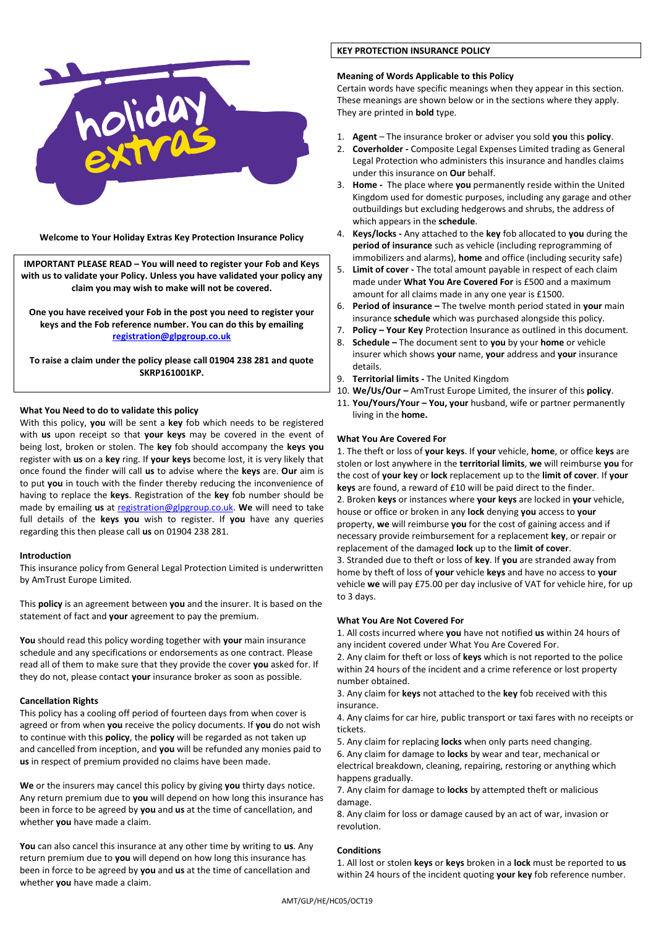

**Welcome to Your Holiday Extras Key Protection Insurance Policy** 

**IMPORTANT PLEASE READ – You will need to register your Fob and Keys with us to validate your Policy. Unless you have validated your policy any claim you may wish to make will not be covered.** 

**One you have received your Fob in the post you need to register your keys and the Fob reference number. You can do this by emailing [registration@glpgroup.co.uk](mailto:registration@glpgroup.co.uk)** 

**To raise a claim under the policy please call 01904 238 281 and quote SKRP161001KP.** 

## **What You Need to do to validate this policy**

With this policy, **you** will be sent a **key** fob which needs to be registered with **us** upon receipt so that **your keys** may be covered in the event of being lost, broken or stolen. The **key** fob should accompany the **keys you** register with **us** on a **key** ring. If **your keys** become lost, it is very likely that once found the finder will call **us** to advise where the **keys** are. **Our** aim is to put **you** in touch with the finder thereby reducing the inconvenience of having to replace the **keys**. Registration of the **key** fob number should be made by emailing **us** at [registration@glpgroup.co.uk.](mailto:registration@glpgroup.co.uk) **We** will need to take full details of the **keys you** wish to register. If **you** have any queries regarding this then please call **us** on 01904 238 281.

## **Introduction**

This insurance policy from General Legal Protection Limited is underwritten by AmTrust Europe Limited.

This **policy** is an agreement between **you** and the insurer. It is based on the statement of fact and **your** agreement to pay the premium.

**You** should read this policy wording together with **your** main insurance schedule and any specifications or endorsements as one contract. Please read all of them to make sure that they provide the cover **you** asked for. If they do not, please contact **your** insurance broker as soon as possible.

## **Cancellation Rights**

This policy has a cooling off period of fourteen days from when cover is agreed or from when **you** receive the policy documents. If **you** do not wish to continue with this **policy**, the **policy** will be regarded as not taken up and cancelled from inception, and **you** will be refunded any monies paid to **us** in respect of premium provided no claims have been made.

**We** or the insurers may cancel this policy by giving **you** thirty days notice. Any return premium due to **you** will depend on how long this insurance has been in force to be agreed by **you** and **us** at the time of cancellation, and whether **you** have made a claim.

**You** can also cancel this insurance at any other time by writing to **us**. Any return premium due to **you** will depend on how long this insurance has been in force to be agreed by **you** and **us** at the time of cancellation and whether **you** have made a claim.

# **KEY PROTECTION INSURANCE POLICY**

## **Meaning of Words Applicable to this Policy**

Certain words have specific meanings when they appear in this section. These meanings are shown below or in the sections where they apply. They are printed in **bold** type.

- 1. **Agent**  The insurance broker or adviser you sold **you** this **policy**.
- 2. **Coverholder** Composite Legal Expenses Limited trading as General Legal Protection who administers this insurance and handles claims under this insurance on **Our** behalf.
- 3. **Home** The place where **you** permanently reside within the United Kingdom used for domestic purposes, including any garage and other outbuildings but excluding hedgerows and shrubs, the address of which appears in the **schedule**.
- 4. **Keys/locks -** Any attached to the **key** fob allocated to **you** during the **period of insurance** such as vehicle (including reprogramming of immobilizers and alarms), **home** and office (including security safe)
- 5. **Limit of cover -** The total amount payable in respect of each claim made under **What You Are Covered For** is £500 and a maximum amount for all claims made in any one year is £1500.
- 6. **Period of insurance –** The twelve month period stated in **your** main insurance **schedule** which was purchased alongside this policy.
- 7. **Policy – Your Key** Protection Insurance as outlined in this document.
- 8. **Schedule –** The document sent to **you** by your **home** or vehicle insurer which shows **your** name, **your** address and **your** insurance details.
- 9. **Territorial limits -** The United Kingdom
- 10. **We/Us/Our –** AmTrust Europe Limited, the insurer of this **policy**.
- 11. **You/Yours/Your – You, your** husband, wife or partner permanently living in the **home.**

## **What You Are Covered For**

1. The theft or loss of **your keys**. If **your** vehicle, **home**, or office **keys** are stolen or lost anywhere in the **territorial limits**, **we** will reimburse **you** for the cost of **your key** or **lock** replacement up to the **limit of cover**. If **your keys** are found, a reward of £10 will be paid direct to the finder. 2. Broken **keys** or instances where **your keys** are locked in **your** vehicle, house or office or broken in any **lock** denying **you** access to **your**  property, **we** will reimburse **you** for the cost of gaining access and if necessary provide reimbursement for a replacement **key**, or repair or replacement of the damaged **lock** up to the **limit of cover**.

3. Stranded due to theft or loss of **key**. If **you** are stranded away from home by theft of loss of **your** vehicle **keys** and have no access to **your** vehicle **we** will pay £75.00 per day inclusive of VAT for vehicle hire, for up to 3 days.

## **What You Are Not Covered For**

1. All costs incurred where **you** have not notified **us** within 24 hours of any incident covered under What You Are Covered For.

2. Any claim for theft or loss of **keys** which is not reported to the police within 24 hours of the incident and a crime reference or lost property number obtained.

3. Any claim for **keys** not attached to the **key** fob received with this insurance.

4. Any claims for car hire, public transport or taxi fares with no receipts or tickets.

5. Any claim for replacing **locks** when only parts need changing.

6. Any claim for damage to **locks** by wear and tear, mechanical or electrical breakdown, cleaning, repairing, restoring or anything which happens gradually.

7. Any claim for damage to **locks** by attempted theft or malicious damage.

8. Any claim for loss or damage caused by an act of war, invasion or revolution.

# **Conditions**

1. All lost or stolen **keys** or **keys** broken in a **lock** must be reported to **us** within 24 hours of the incident quoting **your key** fob reference number.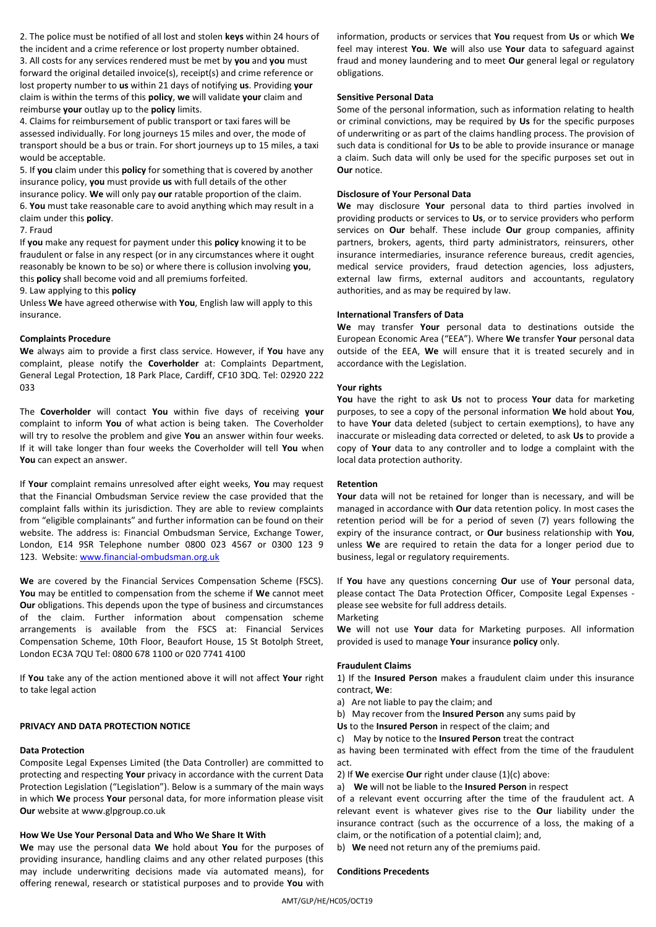2. The police must be notified of all lost and stolen **keys** within 24 hours of the incident and a crime reference or lost property number obtained. 3. All costs for any services rendered must be met by **you** and **you** must forward the original detailed invoice(s), receipt(s) and crime reference or lost property number to **us** within 21 days of notifying **us**. Providing **your** claim is within the terms of this **policy**, **we** will validate **your** claim and reimburse **your** outlay up to the **policy** limits.

4. Claims for reimbursement of public transport or taxi fares will be assessed individually. For long journeys 15 miles and over, the mode of transport should be a bus or train. For short journeys up to 15 miles, a taxi would be acceptable.

5. If **you** claim under this **policy** for something that is covered by another insurance policy, **you** must provide **us** with full details of the other insurance policy. **We** will only pay **our** ratable proportion of the claim. 6. **You** must take reasonable care to avoid anything which may result in a claim under this **policy**.

### 7. Fraud

If **you** make any request for payment under this **policy** knowing it to be fraudulent or false in any respect (or in any circumstances where it ought reasonably be known to be so) or where there is collusion involving **you**, this **policy** shall become void and all premiums forfeited.

9. Law applying to this **policy** 

Unless **We** have agreed otherwise with **You**, English law will apply to this insurance.

### **Complaints Procedure**

**We** always aim to provide a first class service. However, if **You** have any complaint, please notify the **Coverholder** at: Complaints Department, General Legal Protection, 18 Park Place, Cardiff, CF10 3DQ. Tel: 02920 222 033

The **Coverholder** will contact **You** within five days of receiving **your** complaint to inform **You** of what action is being taken. The Coverholder will try to resolve the problem and give **You** an answer within four weeks. If it will take longer than four weeks the Coverholder will tell **You** when **You** can expect an answer.

If **Your** complaint remains unresolved after eight weeks, **You** may request that the Financial Ombudsman Service review the case provided that the complaint falls within its jurisdiction. They are able to review complaints from "eligible complainants" and further information can be found on their website. The address is: Financial Ombudsman Service, Exchange Tower, London, E14 9SR Telephone number 0800 023 4567 or 0300 123 9 123. Website: [www.financial-ombudsman.org.uk](http://www.financial-ombudsman.org.uk/)

**We** are covered by the Financial Services Compensation Scheme (FSCS). **You** may be entitled to compensation from the scheme if **We** cannot meet **Our** obligations. This depends upon the type of business and circumstances of the claim. Further information about compensation scheme arrangements is available from the FSCS at: Financial Services Compensation Scheme, 10th Floor, Beaufort House, 15 St Botolph Street, London EC3A 7QU Tel: 0800 678 1100 or 020 7741 4100

If **You** take any of the action mentioned above it will not affect **Your** right to take legal action

### **PRIVACY AND DATA PROTECTION NOTICE**

#### **Data Protection**

Composite Legal Expenses Limited (the Data Controller) are committed to protecting and respecting **Your** privacy in accordance with the current Data Protection Legislation ("Legislation"). Below is a summary of the main ways in which **We** process **Your** personal data, for more information please visit **Our** website at www.glpgroup.co.uk

### **How We Use Your Personal Data and Who We Share It With**

**We** may use the personal data **We** hold about **You** for the purposes of providing insurance, handling claims and any other related purposes (this may include underwriting decisions made via automated means), for offering renewal, research or statistical purposes and to provide **You** with

information, products or services that **You** request from **Us** or which **We** feel may interest **You**. **We** will also use **Your** data to safeguard against fraud and money laundering and to meet **Our** general legal or regulatory obligations.

### **Sensitive Personal Data**

Some of the personal information, such as information relating to health or criminal convictions, may be required by **Us** for the specific purposes of underwriting or as part of the claims handling process. The provision of such data is conditional for **Us** to be able to provide insurance or manage a claim. Such data will only be used for the specific purposes set out in **Our** notice.

### **Disclosure of Your Personal Data**

**We** may disclosure **Your** personal data to third parties involved in providing products or services to **Us**, or to service providers who perform services on **Our** behalf. These include **Our** group companies, affinity partners, brokers, agents, third party administrators, reinsurers, other insurance intermediaries, insurance reference bureaus, credit agencies, medical service providers, fraud detection agencies, loss adjusters, external law firms, external auditors and accountants, regulatory authorities, and as may be required by law.

### **International Transfers of Data**

**We** may transfer **Your** personal data to destinations outside the European Economic Area ("EEA"). Where **We** transfer **Your** personal data outside of the EEA, **We** will ensure that it is treated securely and in accordance with the Legislation.

#### **Your rights**

**You** have the right to ask **Us** not to process **Your** data for marketing purposes, to see a copy of the personal information **We** hold about **You**, to have **Your** data deleted (subject to certain exemptions), to have any inaccurate or misleading data corrected or deleted, to ask **Us** to provide a copy of **Your** data to any controller and to lodge a complaint with the local data protection authority.

### **Retention**

**Your** data will not be retained for longer than is necessary, and will be managed in accordance with **Our** data retention policy. In most cases the retention period will be for a period of seven (7) years following the expiry of the insurance contract, or **Our** business relationship with **You**, unless **We** are required to retain the data for a longer period due to business, legal or regulatory requirements.

If **You** have any questions concerning **Our** use of **Your** personal data, please contact The Data Protection Officer, Composite Legal Expenses please see website for full address details.

#### Marketing

**We** will not use **Your** data for Marketing purposes. All information provided is used to manage **Your** insurance **policy** only.

#### **Fraudulent Claims**

1) If the **Insured Person** makes a fraudulent claim under this insurance contract, **We**:

- a) Are not liable to pay the claim; and
- b) May recover from the **Insured Person** any sums paid by
- **Us** to the **Insured Person** in respect of the claim; and
- c) May by notice to the **Insured Person** treat the contract

as having been terminated with effect from the time of the fraudulent act.

- 2) If **We** exercise **Our** right under clause (1)(c) above:
- a) **We** will not be liable to the **Insured Person** in respect

of a relevant event occurring after the time of the fraudulent act. A relevant event is whatever gives rise to the **Our** liability under the insurance contract (such as the occurrence of a loss, the making of a claim, or the notification of a potential claim); and,

b) **We** need not return any of the premiums paid.

# **Conditions Precedents**